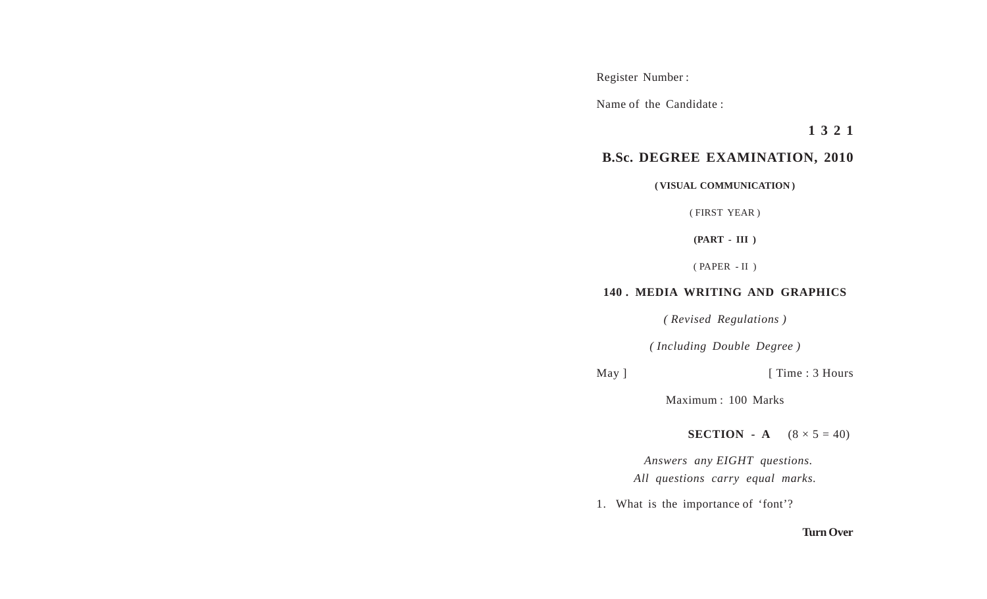Register Number :

Name of the Candidate :

**1 3 2 1**

## **B.Sc. DEGREE EXAMINATION, 2010**

## **( VISUAL COMMUNICATION )**

( FIRST YEAR )

**(PART - III )**

( PAPER - II )

## **140 . MEDIA WRITING AND GRAPHICS**

*( Revised Regulations )*

*( Including Double Degree )*

May ] [ Time : 3 Hours

Maximum : 100 Marks

**SECTION** - **A**  $(8 \times 5 = 40)$ 

 *Answers any EIGHT questions. All questions carry equal marks.*

1. What is the importance of 'font'?

## **Turn Over**